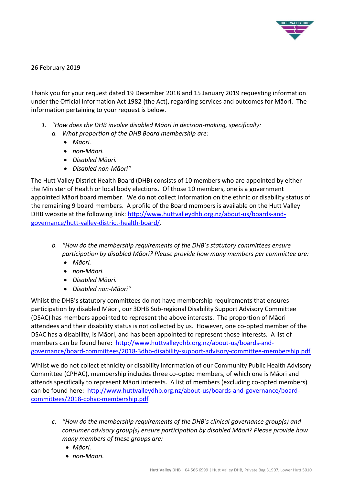

26 February 2019

Thank you for your request dated 19 December 2018 and 15 January 2019 requesting information under the Official Information Act 1982 (the Act), regarding services and outcomes for Māori. The information pertaining to your request is below.

- *1. "How does the DHB involve disabled Māori in decision-making, specifically: a. What proportion of the DHB Board membership are:*
	- *Māori.*
	- *non-Māori.*
	- *Disabled Māori.*
	- *Disabled non-Māori"*

The Hutt Valley District Health Board (DHB) consists of 10 members who are appointed by either the Minister of Health or local body elections. Of those 10 members, one is a government appointed Māori board member. We do not collect information on the ethnic or disability status of the remaining 9 board members. A profile of the Board members is available on the Hutt Valley DHB website at the following link: [http://www.huttvalleydhb.org.nz/about-us/boards-and](http://www.huttvalleydhb.org.nz/about-us/boards-and-governance/hutt-valley-district-health-board/)[governance/hutt-valley-district-health-board/.](http://www.huttvalleydhb.org.nz/about-us/boards-and-governance/hutt-valley-district-health-board/)

- *b. "How do the membership requirements of the DHB's statutory committees ensure participation by disabled Māori? Please provide how many members per committee are:*
	- *Māori.*
	- *non-Māori.*
	- *Disabled Māori.*
	- *Disabled non-Māori"*

Whilst the DHB's statutory committees do not have membership requirements that ensures participation by disabled Māori, our 3DHB Sub-regional Disability Support Advisory Committee (DSAC) has members appointed to represent the above interests. The proportion of Māori attendees and their disability status is not collected by us. However, one co-opted member of the DSAC has a disability, is Māori, and has been appointed to represent those interests. A list of members can be found here: [http://www.huttvalleydhb.org.nz/about-us/boards-and](http://www.huttvalleydhb.org.nz/about-us/boards-and-governance/board-committees/2018-3dhb-disability-support-advisory-committee-membership.pdf)[governance/board-committees/2018-3dhb-disability-support-advisory-committee-membership.pdf](http://www.huttvalleydhb.org.nz/about-us/boards-and-governance/board-committees/2018-3dhb-disability-support-advisory-committee-membership.pdf)

Whilst we do not collect ethnicity or disability information of our Community Public Health Advisory Committee (CPHAC), membership includes three co-opted members, of which one is Māori and attends specifically to represent Māori interests. A list of members (excluding co-opted members) can be found here: [http://www.huttvalleydhb.org.nz/about-us/boards-and-governance/board](http://www.huttvalleydhb.org.nz/about-us/boards-and-governance/board-committees/2018-cphac-membership.pdf)[committees/2018-cphac-membership.pdf](http://www.huttvalleydhb.org.nz/about-us/boards-and-governance/board-committees/2018-cphac-membership.pdf)

- *c. "How do the membership requirements of the DHB's clinical governance group(s) and consumer advisory group(s) ensure participation by disabled Māori? Please provide how many members of these groups are:*
	- *Māori.*
	- *non-Māori.*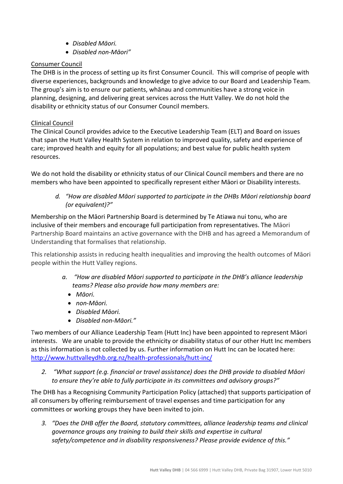- *Disabled Māori.*
- *Disabled non-Māori"*

# Consumer Council

The DHB is in the process of setting up its first Consumer Council. This will comprise of people with diverse experiences, backgrounds and knowledge to give advice to our Board and Leadership Team. The group's aim is to ensure our patients, whānau and communities have a strong voice in planning, designing, and delivering great services across the Hutt Valley. We do not hold the disability or ethnicity status of our Consumer Council members.

# Clinical Council

The Clinical Council provides advice to the Executive Leadership Team (ELT) and Board on issues that span the Hutt Valley Health System in relation to improved quality, safety and experience of care; improved health and equity for all populations; and best value for public health system resources.

We do not hold the disability or ethnicity status of our Clinical Council members and there are no members who have been appointed to specifically represent either Māori or Disability interests.

*d. "How are disabled Māori supported to participate in the DHBs Māori relationship board (or equivalent)?"*

Membership on the Māori Partnership Board is determined by Te Atiawa nui tonu, who are inclusive of their members and encourage full participation from representatives. The Māori Partnership Board maintains an active governance with the DHB and has agreed a Memorandum of Understanding that formalises that relationship.

This relationship assists in reducing health inequalities and improving the health outcomes of Māori people within the Hutt Valley regions.

- *a. "How are disabled Māori supported to participate in the DHB's alliance leadership teams? Please also provide how many members are:*
	- *Māori.*
	- *non-Māori.*
	- *Disabled Māori.*
	- *Disabled non-Māori."*

Two members of our Alliance Leadership Team (Hutt Inc) have been appointed to represent Māori interests. We are unable to provide the ethnicity or disability status of our other Hutt Inc members as this information is not collected by us. Further information on Hutt Inc can be located here: <http://www.huttvalleydhb.org.nz/health-professionals/hutt-inc/>

*2. "What support (e.g. financial or travel assistance) does the DHB provide to disabled Māori to ensure they're able to fully participate in its committees and advisory groups?"*

The DHB has a Recognising Community Participation Policy (attached) that supports participation of all consumers by offering reimbursement of travel expenses and time participation for any committees or working groups they have been invited to join.

*3. "Does the DHB offer the Board, statutory committees, alliance leadership teams and clinical governance groups any training to build their skills and expertise in cultural safety/competence and in disability responsiveness? Please provide evidence of this."*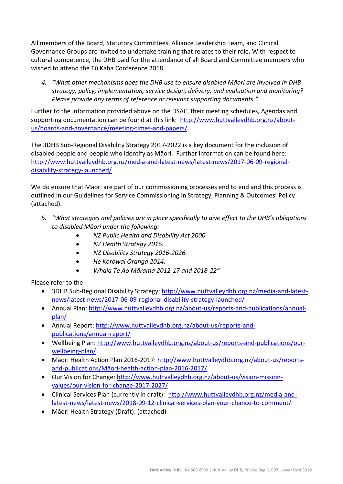All members of the Board, Statutory Committees, Alliance Leadership Team, and Clinical Governance Groups are invited to undertake training that relates to their role. With respect to cultural competence, the DHB paid for the attendance of all Board and Committee members who wished to attend the Tū Kaha Conference 2018.

*4. "What other mechanisms does the DHB use to ensure disabled Māori are involved in DHB strategy, policy, implementation, service design, delivery, and evaluation and monitoring? Please provide any terms of reference or relevant supporting documents."*

Further to the information provided above on the DSAC, their meeting schedules, Agendas and supporting documentation can be found at this link: [http://www.huttvalleydhb.org.nz/about](http://www.huttvalleydhb.org.nz/about-us/boards-and-governance/meeting-times-and-papers/)[us/boards-and-governance/meeting-times-and-papers/.](http://www.huttvalleydhb.org.nz/about-us/boards-and-governance/meeting-times-and-papers/)

The 3DHB Sub-Regional Disability Strategy 2017-2022 is a key document for the inclusion of disabled people and people who identify as Māori. Further information can be found here: [http://www.huttvalleydhb.org.nz/media-and-latest-news/latest-news/2017-06-09-regional](http://www.huttvalleydhb.org.nz/media-and-latest-news/latest-news/2017-06-09-regional-disability-strategy-launched/)[disability-strategy-launched/](http://www.huttvalleydhb.org.nz/media-and-latest-news/latest-news/2017-06-09-regional-disability-strategy-launched/)

We do ensure that Māori are part of our commissioning processes end to end and this process is outlined in our Guidelines for Service Commissioning in Strategy, Planning & Outcomes' Policy (attached).

- *5. "What strategies and policies are in place specifically to give effect to the DHB's obligations to disabled Māori under the following:*
	- *NZ Public Health and Disability Act 2000.*
	- *NZ Health Strategy 2016.*
	- *NZ Disability Strategy 2016-2026.*
	- *He Korowai Oranga 2014.*
	- *Whaia Te Ao Mārama 2012-17 and 2018-22"*

Please refer to the:

- 3DHB Sub-Regional Disability Strategy: [http://www.huttvalleydhb.org.nz/media-and-latest](http://www.huttvalleydhb.org.nz/media-and-latest-news/latest-news/2017-06-09-regional-disability-strategy-launched/)[news/latest-news/2017-06-09-regional-disability-strategy-launched/](http://www.huttvalleydhb.org.nz/media-and-latest-news/latest-news/2017-06-09-regional-disability-strategy-launched/)
- Annual Plan: [http://www.huttvalleydhb.org.nz/about-us/reports-and-publications/annual](http://www.huttvalleydhb.org.nz/about-us/reports-and-publications/annual-plan/)[plan/](http://www.huttvalleydhb.org.nz/about-us/reports-and-publications/annual-plan/)
- Annual Report: [http://www.huttvalleydhb.org.nz/about-us/reports-and](http://www.huttvalleydhb.org.nz/about-us/reports-and-publications/annual-report/)[publications/annual-report/](http://www.huttvalleydhb.org.nz/about-us/reports-and-publications/annual-report/)
- Wellbeing Plan: [http://www.huttvalleydhb.org.nz/about-us/reports-and-publications/our](http://www.huttvalleydhb.org.nz/about-us/reports-and-publications/our-wellbeing-plan/)[wellbeing-plan/](http://www.huttvalleydhb.org.nz/about-us/reports-and-publications/our-wellbeing-plan/)
- Māori Health Action Plan 2016-2017: [http://www.huttvalleydhb.org.nz/about-us/reports](http://www.huttvalleydhb.org.nz/about-us/reports-and-publications/maori-health-action-plan-2016-2017/)and-publications/Māori[-health-action-plan-2016-2017/](http://www.huttvalleydhb.org.nz/about-us/reports-and-publications/maori-health-action-plan-2016-2017/)
- Our Vision for Change[: http://www.huttvalleydhb.org.nz/about-us/vision-mission](http://www.huttvalleydhb.org.nz/about-us/vision-mission-values/our-vision-for-change-2017-2027/)[values/our-vision-for-change-2017-2027/](http://www.huttvalleydhb.org.nz/about-us/vision-mission-values/our-vision-for-change-2017-2027/)
- Clinical Services Plan (currently in draft): [http://www.huttvalleydhb.org.nz/media-and](http://www.huttvalleydhb.org.nz/media-and-latest-news/latest-news/2018-09-12-clinical-services-plan-your-chance-to-comment/)[latest-news/latest-news/2018-09-12-clinical-services-plan-your-chance-to-comment/](http://www.huttvalleydhb.org.nz/media-and-latest-news/latest-news/2018-09-12-clinical-services-plan-your-chance-to-comment/)
- Māori Health Strategy (Draft): (attached)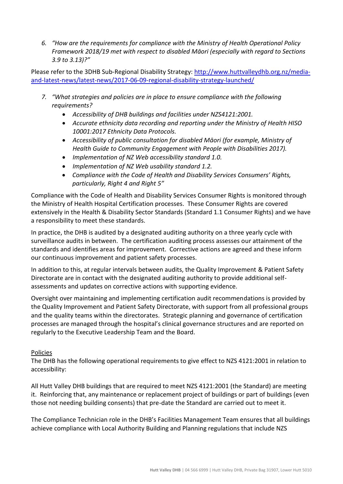*6. "How are the requirements for compliance with the Ministry of Health Operational Policy Framework 2018/19 met with respect to disabled Māori (especially with regard to Sections 3.9 to 3.13)?"*

Please refer to the 3DHB Sub-Regional Disability Strategy: [http://www.huttvalleydhb.org.nz/media](http://www.huttvalleydhb.org.nz/media-and-latest-news/latest-news/2017-06-09-regional-disability-strategy-launched/)[and-latest-news/latest-news/2017-06-09-regional-disability-strategy-launched/](http://www.huttvalleydhb.org.nz/media-and-latest-news/latest-news/2017-06-09-regional-disability-strategy-launched/)

- *7. "What strategies and policies are in place to ensure compliance with the following requirements?*
	- *Accessibility of DHB buildings and facilities under NZS4121:2001.*
	- *Accurate ethnicity data recording and reporting under the Ministry of Health HISO 10001:2017 Ethnicity Data Protocols.*
	- *Accessibility of public consultation for disabled Māori (for example, Ministry of Health Guide to Community Engagement with People with Disabilities 2017).*
	- *Implementation of NZ Web accessibility standard 1.0.*
	- *Implementation of NZ Web usability standard 1.2.*
	- *Compliance with the Code of Health and Disability Services Consumers' Rights, particularly, Right 4 and Right 5"*

Compliance with the Code of Health and Disability Services Consumer Rights is monitored through the Ministry of Health Hospital Certification processes. These Consumer Rights are covered extensively in the Health & Disability Sector Standards (Standard 1.1 Consumer Rights) and we have a responsibility to meet these standards.

In practice, the DHB is audited by a designated auditing authority on a three yearly cycle with surveillance audits in between. The certification auditing process assesses our attainment of the standards and identifies areas for improvement. Corrective actions are agreed and these inform our continuous improvement and patient safety processes.

In addition to this, at regular intervals between audits, the Quality Improvement & Patient Safety Directorate are in contact with the designated auditing authority to provide additional selfassessments and updates on corrective actions with supporting evidence.

Oversight over maintaining and implementing certification audit recommendations is provided by the Quality Improvement and Patient Safety Directorate, with support from all professional groups and the quality teams within the directorates. Strategic planning and governance of certification processes are managed through the hospital's clinical governance structures and are reported on regularly to the Executive Leadership Team and the Board.

#### Policies

The DHB has the following operational requirements to give effect to NZS 4121:2001 in relation to accessibility:

All Hutt Valley DHB buildings that are required to meet NZS 4121:2001 (the Standard) are meeting it. Reinforcing that, any maintenance or replacement project of buildings or part of buildings (even those not needing building consents) that pre-date the Standard are carried out to meet it.

The Compliance Technician role in the DHB's Facilities Management Team ensures that all buildings achieve compliance with Local Authority Building and Planning regulations that include NZS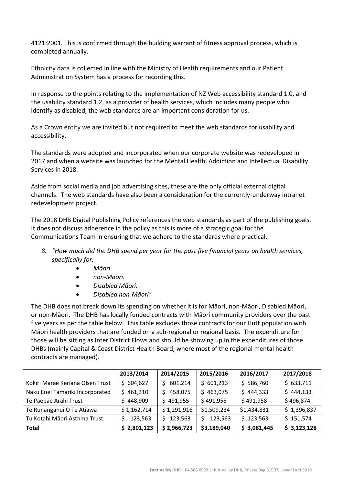4121:2001. This is confirmed through the building warrant of fitness approval process, which is completed annually.

Ethnicity data is collected in line with the Ministry of Health requirements and our Patient Administration System has a process for recording this.

In response to the points relating to the implementation of NZ Web accessibility standard 1.0, and the usability standard 1.2, as a provider of health services, which includes many people who identify as disabled, the web standards are an important consideration for us.

As a Crown entity we are invited but not required to meet the web standards for usability and accessibility.

The standards were adopted and incorporated when our corporate website was redeveloped in 2017 and when a website was launched for the Mental Health, Addiction and Intellectual Disability Services in 2018.

Aside from social media and job advertising sites, these are the only official external digital channels. The web standards have also been a consideration for the currently-underway intranet redevelopment project.

The 2018 DHB Digital Publishing Policy references the web standards as part of the publishing goals. It does not discuss adherence in the policy as this is more of a strategic goal for the Communications Team in ensuring that we adhere to the standards where practical.

- *8. "How much did the DHB spend per year for the past five financial years on health services, specifically for:*
	- *Māori.*
	- *non-Māori.*
	- *Disabled Māori.*
	- *Disabled non-Māori"*

The DHB does not break down its spending on whether it is for Māori, non-Māori, Disabled Māori, or non-Māori. The DHB has locally funded contracts with Māori community providers over the past five years as per the table below. This table excludes those contracts for our Hutt population with Māori health providers that are funded on a sub-regional or regional basis. The expenditure for those will be sitting as Inter District Flows and should be showing up in the expenditures of those DHBs (mainly Capital & Coast District Health Board, where most of the regional mental health contracts are managed).

|                                  | 2013/2014   | 2014/2015    | 2015/2016   | 2016/2017   | 2017/2018   |
|----------------------------------|-------------|--------------|-------------|-------------|-------------|
| Kokiri Marae Keriana Olsen Trust | \$604,627   | 601,214<br>S | \$601,213   | \$586,760   | \$633,711   |
| Naku Enei Tamariki Incorporated  | \$461,310   | 458,075<br>S | \$463,075   | \$444,333   | \$444,133   |
| Te Paepae Arahi Trust            | \$448,909   | \$491,955    | \$491,955   | \$491,958   | \$496,874   |
| Te Runanganui O Te Atiawa        | \$1,162,714 | \$1,291,916  | \$1,509,234 | \$1,434,831 | \$1,396,837 |
| Tu Kotahi Māori Asthma Trust     | 123,563     | 123,563<br>S | 123,563     | \$123,563   | \$151,574   |
| <b>Total</b>                     | \$2,801,123 | \$2,966,723  | \$3,189,040 | \$3,081,445 | \$3,123,128 |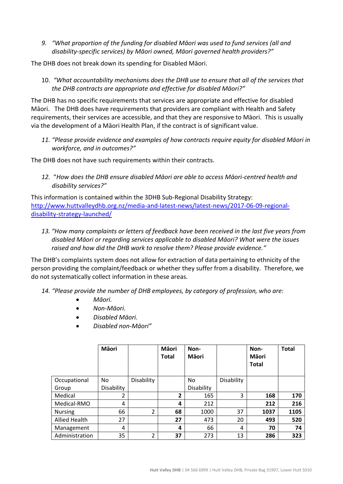*9. "What proportion of the funding for disabled Māori was used to fund services (all and disability-specific services) by Māori owned, Māori governed health providers?"*

The DHB does not break down its spending for Disabled Māori.

10. *"What accountability mechanisms does the DHB use to ensure that all of the services that the DHB contracts are appropriate and effective for disabled Māori?"*

The DHB has no specific requirements that services are appropriate and effective for disabled Māori. The DHB does have requirements that providers are compliant with Health and Safety requirements, their services are accessible, and that they are responsive to Māori. This is usually via the development of a Māori Health Plan, if the contract is of significant value.

*11. "Please provide evidence and examples of how contracts require equity for disabled Māori in workforce, and in outcomes?"*

The DHB does not have such requirements within their contracts.

*12.* "*How does the DHB ensure disabled Māori are able to access Māori-centred health and disability services?"*

This information is contained within the 3DHB Sub-Regional Disability Strategy: [http://www.huttvalleydhb.org.nz/media-and-latest-news/latest-news/2017-06-09-regional](http://www.huttvalleydhb.org.nz/media-and-latest-news/latest-news/2017-06-09-regional-disability-strategy-launched/)[disability-strategy-launched/](http://www.huttvalleydhb.org.nz/media-and-latest-news/latest-news/2017-06-09-regional-disability-strategy-launched/)

*13. "How many complaints or letters of feedback have been received in the last five years from disabled Māori or regarding services applicable to disabled Māori? What were the issues raised and how did the DHB work to resolve them? Please provide evidence."*

The DHB's complaints system does not allow for extraction of data pertaining to ethnicity of the person providing the complaint/feedback or whether they suffer from a disability. Therefore, we do not systematically collect information in these areas.

- *14. "Please provide the number of DHB employees, by category of profession, who are:*
	- *Māori.*
	- *Non-Māori.*
	- *Disabled Māori.*
	- *Disabled non-Māori"*

|                      | Māori      |            | Māori<br><b>Total</b> | Non-<br>Māori |            | Non-<br>Māori<br><b>Total</b> | <b>Total</b> |
|----------------------|------------|------------|-----------------------|---------------|------------|-------------------------------|--------------|
| Occupational         | No         | Disability |                       | No            | Disability |                               |              |
| Group                | Disability |            |                       | Disability    |            |                               |              |
| Medical              | 2          |            | $\overline{2}$        | 165           | 3          | 168                           | 170          |
| Medical-RMO          | 4          |            | 4                     | 212           |            | 212                           | 216          |
| <b>Nursing</b>       | 66         | 2          | 68                    | 1000          | 37         | 1037                          | 1105         |
| <b>Allied Health</b> | 27         |            | 27                    | 473           | 20         | 493                           | 520          |
| Management           | 4          |            | 4                     | 66            | 4          | 70                            | 74           |
| Administration       | 35         | 2          | 37                    | 273           | 13         | 286                           | 323          |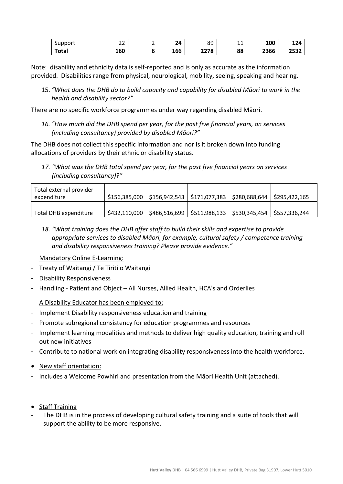| $\overline{\phantom{0}}$<br>Support | $\sim$<br>ے ے | - | <b></b><br>'' | QΟ<br>໐ະ | -- - | 100  | 124          |
|-------------------------------------|---------------|---|---------------|----------|------|------|--------------|
| Total                               | 160           |   | 166           | 2278     | 88   | 2366 | つにつつ<br>253Z |

Note: disability and ethnicity data is self-reported and is only as accurate as the information provided. Disabilities range from physical, neurological, mobility, seeing, speaking and hearing*.*

15. *"What does the DHB do to build capacity and capability for disabled Māori to work in the health and disability sector?"*

There are no specific workforce programmes under way regarding disabled Māori.

*16. "How much did the DHB spend per year, for the past five financial years, on services (including consultancy) provided by disabled Māori?"*

The DHB does not collect this specific information and nor is it broken down into funding allocations of providers by their ethnic or disability status.

*17. "What was the DHB total spend per year, for the past five financial years on services (including consultancy)?"*

| Total external provider |               |                                                                |                             |
|-------------------------|---------------|----------------------------------------------------------------|-----------------------------|
| expenditure             |               | $$156,385,000$   \$156,942,543   \$171,077,383   \$280,688,644 | $\frac{1}{2}$ \$295,422,165 |
|                         |               |                                                                |                             |
| Total DHB expenditure   | \$432,110,000 | $$486,516,699$ $$511,988,133$ $$530,345,454$ $$557,336,244$    |                             |

*18. "What training does the DHB offer staff to build their skills and expertise to provide appropriate services to disabled Māori, for example, cultural safety / competence training and disability responsiveness training? Please provide evidence."*

Mandatory Online E-Learning:

- Treaty of Waitangi / Te Tiriti o Waitangi
- Disability Responsiveness
- Handling Patient and Object All Nurses, Allied Health, HCA's and Orderlies

A Disability Educator has been employed to:

- Implement Disability responsiveness education and training
- Promote subregional consistency for education programmes and resources
- Implement learning modalities and methods to deliver high quality education, training and roll out new initiatives
- Contribute to national work on integrating disability responsiveness into the health workforce.
- New staff orientation:
- Includes a Welcome Powhiri and presentation from the Māori Health Unit (attached).
- Staff Training
- The DHB is in the process of developing cultural safety training and a suite of tools that will support the ability to be more responsive.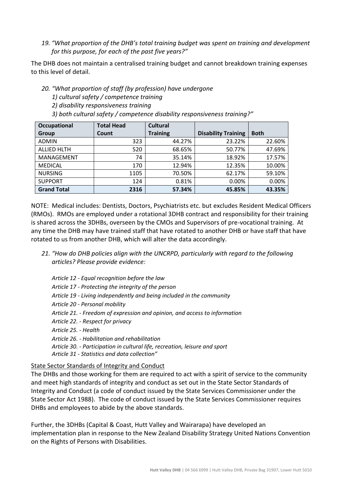# *19. "What proportion of the DHB's total training budget was spent on training and development for this purpose, for each of the past five years?"*

The DHB does not maintain a centralised training budget and cannot breakdown training expenses to this level of detail.

### *20. "What proportion of staff (by profession) have undergone*

- *1) cultural safety / competence training*
- *2) disability responsiveness training*
- *3) both cultural safety / competence disability responsiveness training?"*

| Occupational       | <b>Total Head</b> | <b>Cultural</b> |                            |             |
|--------------------|-------------------|-----------------|----------------------------|-------------|
| Group              | Count             | <b>Training</b> | <b>Disability Training</b> | <b>Both</b> |
| <b>ADMIN</b>       | 323               | 44.27%          | 23.22%                     | 22.60%      |
| <b>ALLIED HLTH</b> | 520               | 68.65%          | 50.77%                     | 47.69%      |
| MANAGEMENT         | 74                | 35.14%          | 18.92%                     | 17.57%      |
| <b>MEDICAL</b>     | 170               | 12.94%          | 12.35%                     | 10.00%      |
| <b>NURSING</b>     | 1105              | 70.50%          | 62.17%                     | 59.10%      |
| <b>SUPPORT</b>     | 124               | 0.81%           | 0.00%                      | 0.00%       |
| <b>Grand Total</b> | 2316              | 57.34%          | 45.85%                     | 43.35%      |

NOTE: Medical includes: Dentists, Doctors, Psychiatrists etc. but excludes Resident Medical Officers (RMOs). RMOs are employed under a rotational 3DHB contract and responsibility for their training is shared across the 3DHBs, overseen by the CMOs and Supervisors of pre-vocational training. At any time the DHB may have trained staff that have rotated to another DHB or have staff that have rotated to us from another DHB, which will alter the data accordingly.

- *21. "How do DHB policies align with the UNCRPD, particularly with regard to the following articles? Please provide evidence:*
	- *Article 12 - Equal recognition before the law Article 17 - Protecting the integrity of the person Article 19 - Living independently and being included in the community Article 20 - Personal mobility Article 21. - Freedom of expression and opinion, and access to information Article 22. - Respect for privacy Article 25. - Health Article 26. - Habilitation and rehabilitation Article 30. - Participation in cultural life, recreation, leisure and sport Article 31 - Statistics and data collection"*

#### State Sector Standards of Integrity and Conduct

The DHBs and those working for them are required to act with a spirit of service to the community and meet high standards of integrity and conduct as set out in the State Sector Standards of Integrity and Conduct (a code of conduct issued by the State Services Commissioner under the State Sector Act 1988). The code of conduct issued by the State Services Commissioner requires DHBs and employees to abide by the above standards.

Further, the 3DHBs (Capital & Coast, Hutt Valley and Wairarapa) have developed an implementation plan in response to the New Zealand Disability Strategy United Nations Convention on the Rights of Persons with Disabilities.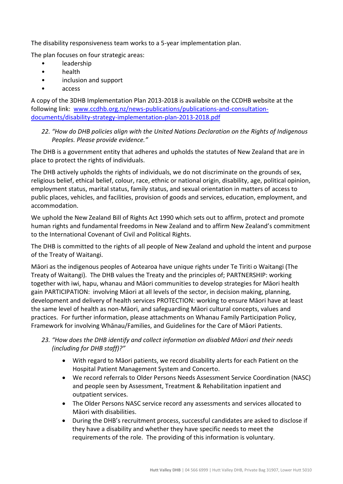The disability responsiveness team works to a 5-year implementation plan.

The plan focuses on four strategic areas:

- leadership
- health
- inclusion and support
- access

A copy of the 3DHB Implementation Plan 2013-2018 is available on the CCDHB website at the following link: [www.ccdhb.org.nz/news-publications/publications-and-consultation](http://www.ccdhb.org.nz/news-publications/publications-and-consultation-documents/disability-strategy-implementation-plan-2013-2018.pdf)[documents/disability-strategy-implementation-plan-2013-2018.pdf](http://www.ccdhb.org.nz/news-publications/publications-and-consultation-documents/disability-strategy-implementation-plan-2013-2018.pdf)

*22. "How do DHB policies align with the United Nations Declaration on the Rights of Indigenous Peoples. Please provide evidence."*

The DHB is a government entity that adheres and upholds the statutes of New Zealand that are in place to protect the rights of individuals.

The DHB actively upholds the rights of individuals, we do not discriminate on the grounds of sex, religious belief, ethical belief, colour, race, ethnic or national origin, disability, age, political opinion, employment status, marital status, family status, and sexual orientation in matters of access to public places, vehicles, and facilities, provision of goods and services, education, employment, and accommodation.

We uphold the New Zealand Bill of Rights Act 1990 which sets out to affirm, protect and promote human rights and fundamental freedoms in New Zealand and to affirm New Zealand's commitment to the International Covenant of Civil and Political Rights.

The DHB is committed to the rights of all people of New Zealand and uphold the intent and purpose of the Treaty of Waitangi.

Māori as the indigenous peoples of Aotearoa have unique rights under Te Tiriti o Waitangi (The Treaty of Waitangi). The DHB values the Treaty and the principles of; PARTNERSHIP: working together with iwi, hapu, whanau and Māori communities to develop strategies for Māori health gain PARTICIPATION: involving Māori at all levels of the sector, in decision making, planning, development and delivery of health services PROTECTION: working to ensure Māori have at least the same level of health as non-Māori, and safeguarding Māori cultural concepts, values and practices. For further information, please attachments on Whanau Family Participation Policy, Framework for involving Whānau/Families, and Guidelines for the Care of Māori Patients.

- *23. "How does the DHB identify and collect information on disabled Māori and their needs (including for DHB staff)?"*
	- With regard to Māori patients, we record disability alerts for each Patient on the Hospital Patient Management System and Concerto.
	- We record referrals to Older Persons Needs Assessment Service Coordination (NASC) and people seen by Assessment, Treatment & Rehabilitation inpatient and outpatient services.
	- The Older Persons NASC service record any assessments and services allocated to Māori with disabilities.
	- During the DHB's recruitment process, successful candidates are asked to disclose if they have a disability and whether they have specific needs to meet the requirements of the role. The providing of this information is voluntary.